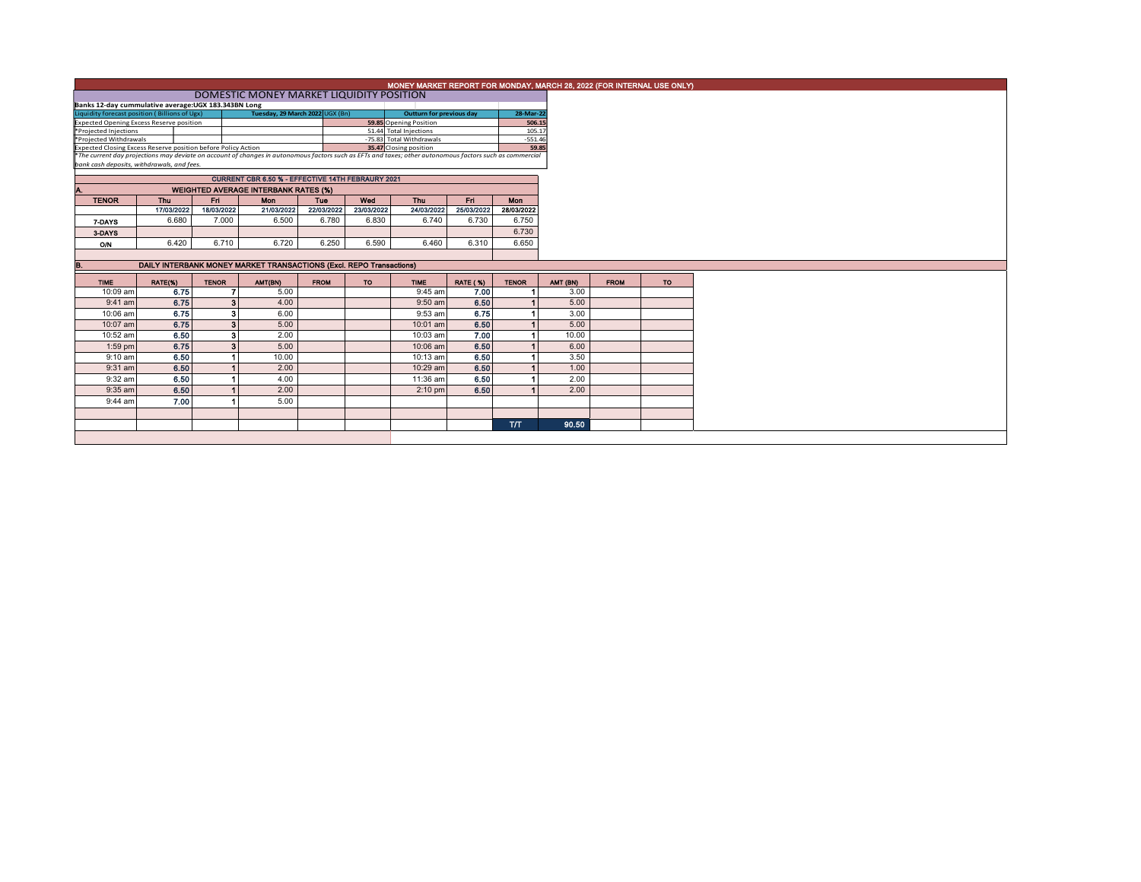|                                                                                                                                                                   | MONEY MARKET REPORT FOR MONDAY, MARCH 28, 2022 (FOR INTERNAL USE ONLY)    |              |                                                                                                         |             |            |             |                 |                  |           |             |     |  |  |
|-------------------------------------------------------------------------------------------------------------------------------------------------------------------|---------------------------------------------------------------------------|--------------|---------------------------------------------------------------------------------------------------------|-------------|------------|-------------|-----------------|------------------|-----------|-------------|-----|--|--|
|                                                                                                                                                                   |                                                                           |              |                                                                                                         |             |            |             |                 |                  |           |             |     |  |  |
| Banks 12-day cummulative average: UGX 183.343BN Long                                                                                                              |                                                                           |              |                                                                                                         |             |            |             |                 |                  |           |             |     |  |  |
| Tuesday, 29 March 2022 UGX (Bn)<br>Liquidity forecast position (Billions of Ugx)<br>Outturn for previous day                                                      |                                                                           |              |                                                                                                         |             |            |             |                 |                  | 28-Mar-22 |             |     |  |  |
|                                                                                                                                                                   | <b>Expected Opening Excess Reserve position</b><br>59.85 Opening Position |              |                                                                                                         |             |            |             |                 | 506.15<br>105.17 |           |             |     |  |  |
|                                                                                                                                                                   | *Projected Injections<br>51.44 Total Injections                           |              |                                                                                                         |             |            |             |                 |                  | $-551.46$ |             |     |  |  |
| -75.83 Total Withdrawals<br>*Projected Withdrawals<br>Expected Closing Excess Reserve position before Policy Action<br>35.47 Closing position                     |                                                                           |              |                                                                                                         |             |            |             |                 |                  |           |             |     |  |  |
| 59.85<br>*The current day projections may deviate on account of changes in autonomous factors such as EFTs and taxes; other autonomous factors such as commercial |                                                                           |              |                                                                                                         |             |            |             |                 |                  |           |             |     |  |  |
| bank cash deposits, withdrawals, and fees.                                                                                                                        |                                                                           |              |                                                                                                         |             |            |             |                 |                  |           |             |     |  |  |
|                                                                                                                                                                   |                                                                           |              |                                                                                                         |             |            |             |                 |                  |           |             |     |  |  |
| A.                                                                                                                                                                |                                                                           |              | <b>CURRENT CBR 6.50 % - EFFECTIVE 14TH FEBRAURY 2021</b><br><b>WEIGHTED AVERAGE INTERBANK RATES (%)</b> |             |            |             |                 |                  |           |             |     |  |  |
| <b>TENOR</b>                                                                                                                                                      | <b>Thu</b>                                                                | Fri.         | <b>Mon</b>                                                                                              | <b>Tue</b>  | Wed        | Thu         | Fri.            | <b>Mon</b>       |           |             |     |  |  |
|                                                                                                                                                                   | 17/03/2022                                                                | 18/03/2022   | 21/03/2022                                                                                              | 22/03/2022  | 23/03/2022 | 24/03/2022  | 25/03/2022      | 28/03/2022       |           |             |     |  |  |
| 7-DAYS                                                                                                                                                            | 6.680                                                                     | 7.000        | 6.500                                                                                                   | 6.780       | 6.830      | 6.740       | 6.730           | 6.750            |           |             |     |  |  |
| 3-DAYS                                                                                                                                                            |                                                                           |              |                                                                                                         |             |            |             |                 | 6.730            |           |             |     |  |  |
| O/N                                                                                                                                                               | 6.420                                                                     | 6.710        | 6.720                                                                                                   | 6.250       | 6.590      | 6.460       | 6.310           | 6.650            |           |             |     |  |  |
|                                                                                                                                                                   |                                                                           |              |                                                                                                         |             |            |             |                 |                  |           |             |     |  |  |
| B.                                                                                                                                                                |                                                                           |              | DAILY INTERBANK MONEY MARKET TRANSACTIONS (Excl. REPO Transactions)                                     |             |            |             |                 |                  |           |             |     |  |  |
| <b>TIME</b>                                                                                                                                                       | RATE(%)                                                                   | <b>TENOR</b> | AMT(BN)                                                                                                 | <b>FROM</b> | <b>TO</b>  | <b>TIME</b> | <b>RATE (%)</b> | <b>TENOR</b>     | AMT (BN)  | <b>FROM</b> | TO. |  |  |
| 10:09 am                                                                                                                                                          | 6.75                                                                      |              | 5.00                                                                                                    |             |            | $9:45$ am   | 7.00            |                  | 3.00      |             |     |  |  |
| $9:41$ am                                                                                                                                                         | 6.75                                                                      |              | 4.00                                                                                                    |             |            | $9:50$ am   | 6.50            |                  | 5.00      |             |     |  |  |
| 10:06 am                                                                                                                                                          | 6.75                                                                      |              | 6.00                                                                                                    |             |            | $9:53$ am   | 6.75            |                  | 3.00      |             |     |  |  |
| 10:07 am                                                                                                                                                          | 6.75                                                                      | $\bullet$    | 5.00                                                                                                    |             |            | 10:01 am    | 6.50            |                  | 5.00      |             |     |  |  |
| 10:52 am                                                                                                                                                          | 6.50                                                                      |              | 2.00                                                                                                    |             |            | 10:03 am    | 7.00            |                  | 10.00     |             |     |  |  |
| 1:59 pm                                                                                                                                                           | 6.75                                                                      |              | 5.00                                                                                                    |             |            | 10:06 am    | 6.50            |                  | 6.00      |             |     |  |  |
| $9:10$ am                                                                                                                                                         | 6.50                                                                      |              | 10.00                                                                                                   |             |            | 10:13 am    | 6.50            |                  | 3.50      |             |     |  |  |
| $9:31$ am                                                                                                                                                         | 6.50                                                                      |              | 2.00                                                                                                    |             |            | 10:29 am    | 6.50            |                  | 1.00      |             |     |  |  |
| 9:32 am                                                                                                                                                           | 6.50                                                                      |              | 4.00                                                                                                    |             |            | 11:36 am    | 6.50            |                  | 2.00      |             |     |  |  |
| 9:35 am                                                                                                                                                           | 6.50                                                                      |              | 2.00                                                                                                    |             |            | $2:10$ pm   | 6.50            |                  | 2.00      |             |     |  |  |
| $9:44$ am                                                                                                                                                         | 7.00                                                                      |              | 5.00                                                                                                    |             |            |             |                 |                  |           |             |     |  |  |
|                                                                                                                                                                   |                                                                           |              |                                                                                                         |             |            |             |                 |                  |           |             |     |  |  |
|                                                                                                                                                                   |                                                                           |              |                                                                                                         |             |            |             |                 | <b>T/T</b>       | 90.50     |             |     |  |  |
|                                                                                                                                                                   |                                                                           |              |                                                                                                         |             |            |             |                 |                  |           |             |     |  |  |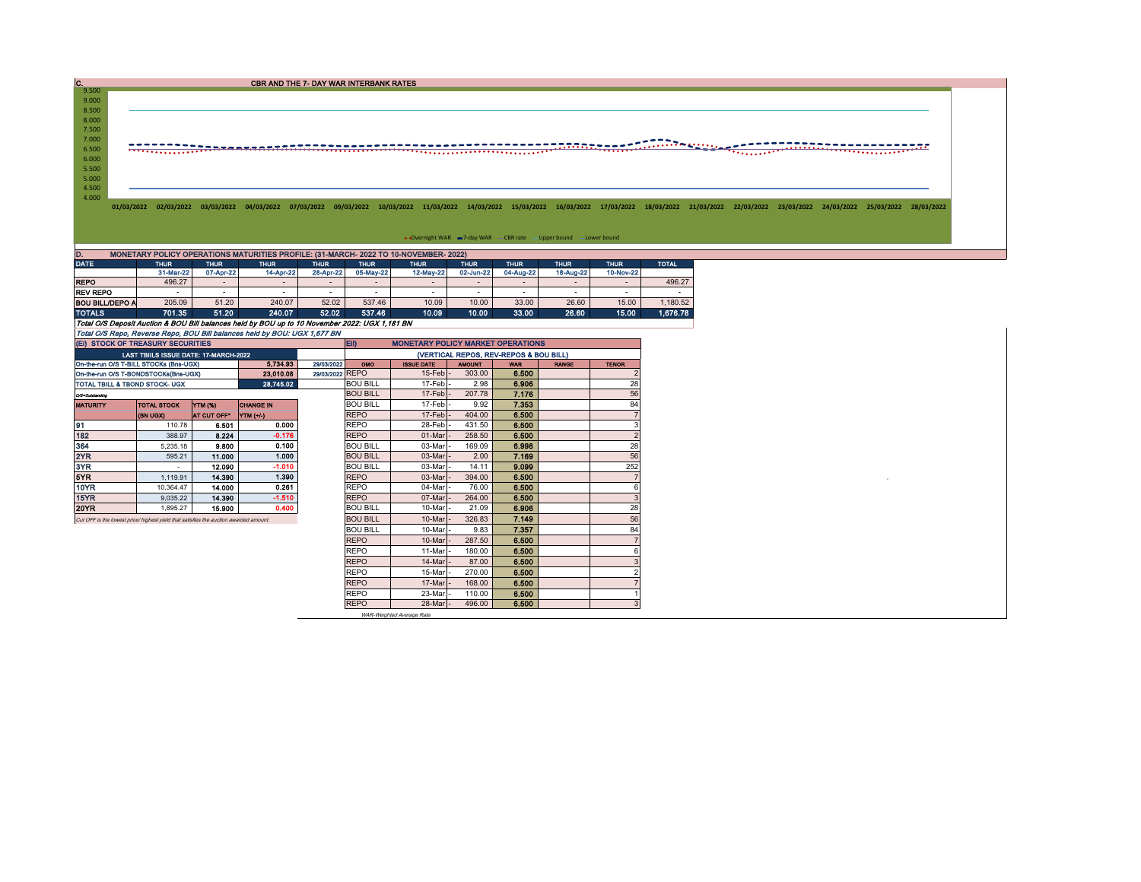CBR AND THE 7- DAY WAR INTERBANK RATES

| 9.500 |                                                                                                                                                                                                                             |  |  |  |  |                               |  |  |  |  |
|-------|-----------------------------------------------------------------------------------------------------------------------------------------------------------------------------------------------------------------------------|--|--|--|--|-------------------------------|--|--|--|--|
| 9.000 |                                                                                                                                                                                                                             |  |  |  |  |                               |  |  |  |  |
| 8.500 |                                                                                                                                                                                                                             |  |  |  |  |                               |  |  |  |  |
| 8.000 |                                                                                                                                                                                                                             |  |  |  |  |                               |  |  |  |  |
| 7.500 |                                                                                                                                                                                                                             |  |  |  |  |                               |  |  |  |  |
| 7.000 |                                                                                                                                                                                                                             |  |  |  |  |                               |  |  |  |  |
| 6.500 |                                                                                                                                                                                                                             |  |  |  |  | <u> TATARASSE CARRAQUE e </u> |  |  |  |  |
|       |                                                                                                                                                                                                                             |  |  |  |  |                               |  |  |  |  |
| 6.000 |                                                                                                                                                                                                                             |  |  |  |  |                               |  |  |  |  |
| 5.500 |                                                                                                                                                                                                                             |  |  |  |  |                               |  |  |  |  |
| 5.000 |                                                                                                                                                                                                                             |  |  |  |  |                               |  |  |  |  |
| 4.500 |                                                                                                                                                                                                                             |  |  |  |  |                               |  |  |  |  |
| 4.000 |                                                                                                                                                                                                                             |  |  |  |  |                               |  |  |  |  |
|       | 01/03/2022 02/03/2022 03/03/2022 04/03/2022 07/03/2022 09/03/2022 10/03/2022 11/03/2022 14/03/2022 15/03/2022 16/03/2022 17/03/2022 18/03/2022 21/03/2022 22/03/2022 23/03/2022 24/03/2022 24/03/2022 25/03/2022 28/03/2022 |  |  |  |  |                               |  |  |  |  |

• Overnight WAR = 7-day WAR CBR rate - Upper bound - Lower bound

| D.<br>MONETARY POLICY OPERATIONS MATURITIES PROFILE: (31-MARCH- 2022 TO 10-NOVEMBER- 2022)     |             |             |             |             |             |                          |             |             |             |                          |              |  |  |  |
|------------------------------------------------------------------------------------------------|-------------|-------------|-------------|-------------|-------------|--------------------------|-------------|-------------|-------------|--------------------------|--------------|--|--|--|
| <b>DATE</b>                                                                                    | <b>THUR</b> | <b>THUR</b> | <b>THUR</b> | <b>THUR</b> | <b>THUR</b> | <b>THUR</b>              | <b>THUR</b> | <b>THUR</b> | <b>THUR</b> | <b>THUR</b>              | <b>TOTAL</b> |  |  |  |
|                                                                                                | 31-Mar-22   | 07-Apr-22   | 14-Apr-22   | 28-Apr-22   | 05-May-22   | 12-May-22                | 02-Jun-22   | 04-Aug-22   | 18-Aug-22   | 10-Nov-22                |              |  |  |  |
| <b>REPO</b>                                                                                    | 496.27      |             | -           | -           | -           | $\overline{\phantom{a}}$ |             | -           |             | $\overline{\phantom{0}}$ | 496.27       |  |  |  |
| <b>REV REPO</b>                                                                                | . .         | -           | -           |             |             | -                        | -           | -           |             |                          |              |  |  |  |
| <b>BOU BILL/DEPO A</b>                                                                         | 205.09      | 51.20       | 240.07      | 52.02       | 537.46      | 10.09                    | 10.00       | 33.00       | 26.60       | 15.00                    | .180.52      |  |  |  |
| <b>TOTALS</b>                                                                                  | 701.35      | 51.20       | 240.07      | 52.02       | 537.46      | 10.09                    | 10.00       | 33.00       | 26.60       | 15.00                    | 1.676.78     |  |  |  |
| Total O/S Deposit Auction & BOU Bill balances held by BOU up to 10 November 2022: UGX 1.181 BN |             |             |             |             |             |                          |             |             |             |                          |              |  |  |  |
| Total O/S Repo, Reverse Repo, BOU Bill balances held by BOU: UGX 1,677 BN                      |             |             |             |             |             |                          |             |             |             |                          |              |  |  |  |

| (EI) STOCK OF TREASURY SECURITIES                                                     |                                       |                |                  |                   | <b>ED</b><br><b>MONETARY POLICY MARKET OPERATIONS</b> |                     |              |              |  |     |  |  |
|---------------------------------------------------------------------------------------|---------------------------------------|----------------|------------------|-------------------|-------------------------------------------------------|---------------------|--------------|--------------|--|-----|--|--|
|                                                                                       | LAST TBIILS ISSUE DATE: 17-MARCH-2022 |                |                  |                   | (VERTICAL REPOS, REV-REPOS & BOU BILL)                |                     |              |              |  |     |  |  |
| On-the-run O/S T-BILL STOCKs (Bns-UGX)                                                | 5,734.93                              | 29/03/2022     | <b>OMO</b>       | <b>ISSUE DATE</b> | <b>AMOUNT</b>                                         | <b>WAR</b>          | <b>RANGE</b> | <b>TENOR</b> |  |     |  |  |
| 23.010.08<br>On-the-run O/S T-BONDSTOCKs(Bns-UGX)                                     |                                       |                |                  | 29/03/2022 REPO   |                                                       | $15$ -Feb $\vert$ - | 303.00       | 6.500        |  |     |  |  |
| TOTAL TBILL & TBOND STOCK- UGX                                                        |                                       |                | 28.745.02        |                   | <b>BOU BILL</b>                                       | $17$ -Feb $\vert$ - | 2.98         | 6.906        |  | 28  |  |  |
| Q/S=Outstanding                                                                       |                                       |                |                  |                   | <b>BOU BILL</b>                                       | $17$ -Feb $\vert$ - | 207.78       | 7.176        |  | 56  |  |  |
| <b>MATURITY</b>                                                                       | <b>TOTAL STOCK</b>                    | <b>YTM (%)</b> | <b>CHANGE IN</b> |                   | <b>BOU BILL</b>                                       | 17-Feb -            | 9.92         | 7.353        |  | 84  |  |  |
|                                                                                       | (BN UGX)                              | AT CUT OFF*    | <b>YTM (+/-)</b> |                   | <b>REPO</b>                                           | 17-Feb -            | 404.00       | 6,500        |  |     |  |  |
| 91                                                                                    | 110.78                                | 6.501          | 0.000            |                   | <b>REPO</b>                                           | 28-Feb-             | 431.50       | 6.500        |  |     |  |  |
| 182                                                                                   | 388.97                                | 8.224          | $-0.176$         |                   | <b>REPO</b>                                           | 01-Mar              | 258.50       | 6.500        |  |     |  |  |
| 364                                                                                   | 5.235.18                              | 9.800          | 0.100            |                   | <b>BOU BILL</b>                                       | 03-Mar              | 169.09       | 6.998        |  | 28  |  |  |
| 2YR                                                                                   | 595.21                                | 11.000         | 1.000            |                   | <b>BOU BILL</b>                                       | 03-Mar              | 2.00         | 7.169        |  | 56  |  |  |
| 3YR                                                                                   |                                       | 12.090         | $-1.010$         |                   | <b>BOU BILL</b>                                       | 03-Mar              | 14.11        | 9.099        |  | 252 |  |  |
| 5YR                                                                                   | 1.119.91                              | 14,390         | 1.390            |                   | <b>REPO</b>                                           | 03-Mar              | 394.00       | 6.500        |  |     |  |  |
| 10YR                                                                                  | 10.364.47                             | 14.000         | 0.261            |                   | <b>REPO</b>                                           | 04-Mar              | 76.00        | 6.500        |  | 6   |  |  |
| 15YR                                                                                  | 9.035.22                              | 14.390         | $-1.510$         |                   | <b>REPO</b>                                           | 07-Mar              | 264.00       | 6.500        |  |     |  |  |
| 20YR                                                                                  | 1.895.27                              | 15,900         | 0.400            |                   | <b>BOU BILL</b>                                       | 10-Mar              | 21.09        | 6.906        |  | 28  |  |  |
| Cut OFF is the lowest price/ highest yield that satisfies the auction awarded amount. |                                       |                |                  |                   | <b>BOU BILL</b>                                       | 10-Mar              | 326.83       | 7.149        |  | 56  |  |  |
|                                                                                       |                                       |                |                  |                   | <b>BOU BILL</b>                                       | 10-Mar              | 9.83         | 7.357        |  | 84  |  |  |
|                                                                                       |                                       |                |                  |                   | <b>REPO</b>                                           | 10-Mar              | 287.50       | 6.500        |  |     |  |  |
|                                                                                       |                                       |                |                  |                   | <b>REPO</b>                                           | 11-Mar              | 180.00       | 6.500        |  |     |  |  |
|                                                                                       |                                       |                |                  |                   | <b>REPO</b>                                           | 14-Mar              | 87.00        | 6.500        |  |     |  |  |
|                                                                                       |                                       |                |                  |                   | <b>REPO</b>                                           | 15-Mar              | 270.00       | 6.500        |  |     |  |  |
|                                                                                       |                                       |                |                  |                   | <b>REPO</b>                                           | 17-Mar              | 168.00       | 6.500        |  |     |  |  |
|                                                                                       |                                       |                |                  |                   | <b>REPO</b>                                           | 23-Mar              | 110.00       | 6.500        |  |     |  |  |
|                                                                                       |                                       |                |                  |                   | <b>REPO</b>                                           | 28-Mar              | 496.00       | 6.500        |  |     |  |  |

WAR-Weighted Average Rate